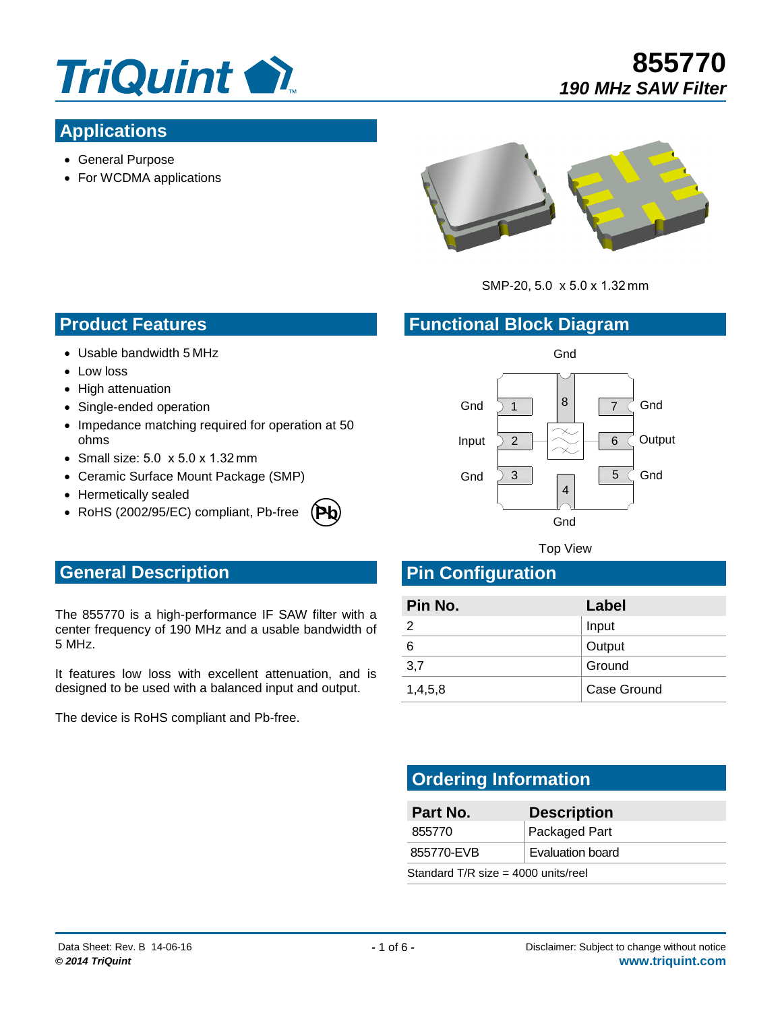

# **Applications**

- General Purpose
- For WCDMA applications



**855770**

*190 MHz SAW Filter*

SMP-20, 5.0 x 5.0 x 1.32 mm

#### **Functional Block Diagram**

- **Product Features**
- Usable bandwidth 5 MHz
- Low loss
- High attenuation
- Single-ended operation
- Impedance matching required for operation at 50 ohms
- $\bullet$  Small size: 5.0  $\times$  5.0  $\times$  1.32 mm
- Ceramic Surface Mount Package (SMP)
- Hermetically sealed
- RoHS (2002/95/EC) compliant, Pb-free **Pb**



Top View

# **General Description**

The 855770 is a high-performance IF SAW filter with a center frequency of 190 MHz and a usable bandwidth of 5 MHz.

It features low loss with excellent attenuation, and is designed to be used with a balanced input and output.

The device is RoHS compliant and Pb-free.

| Pin No. | Label       |
|---------|-------------|
|         | Input       |
| 6       | Output      |
| 3,7     | Ground      |
| 1,4,5,8 | Case Ground |

# **Ordering Information**

**Pin Configuration** 

| Part No.                              | <b>Description</b> |  |
|---------------------------------------|--------------------|--|
| 855770                                | Packaged Part      |  |
| <b>Evaluation board</b><br>855770-EVB |                    |  |
| Standard T/R size = $4000$ units/reel |                    |  |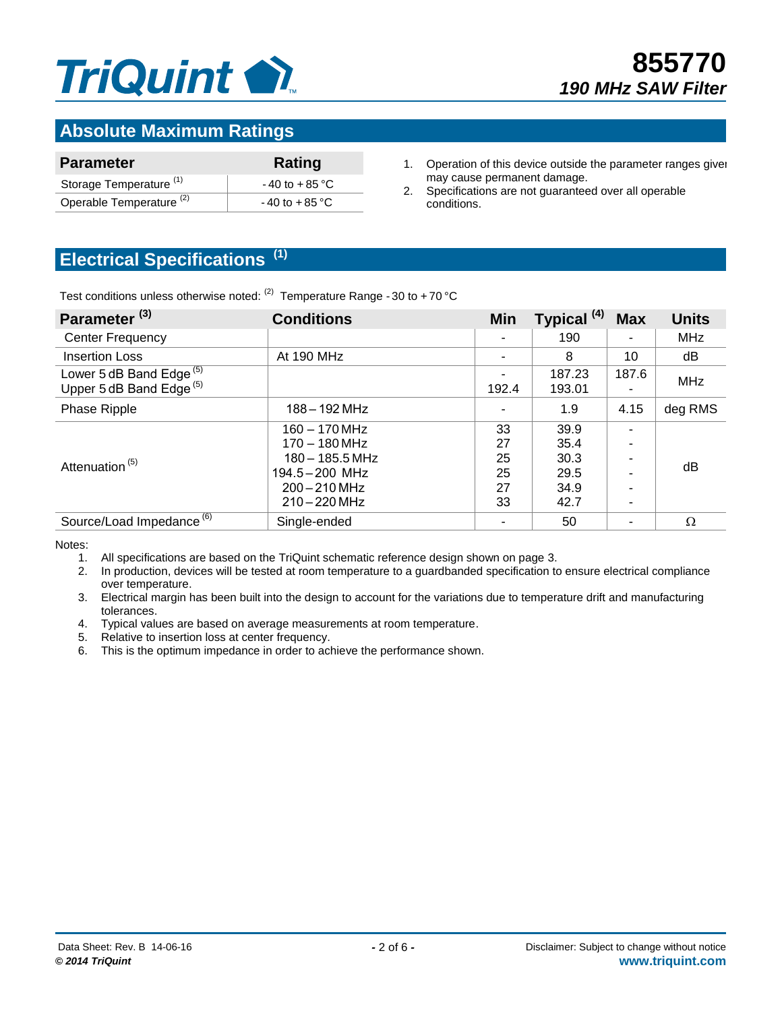

# **Absolute Maximum Ratings**

| <b>Parameter</b>                    | Rating            |
|-------------------------------------|-------------------|
| Storage Temperature <sup>(1)</sup>  | $-40$ to $+85$ °C |
| Operable Temperature <sup>(2)</sup> | $-40$ to $+85$ °C |

- 1. Operation of this device outside the parameter ranges given may cause permanent damage.
- 2. Specifications are not guaranteed over all operable conditions.

# **Electrical Specifications (1)**

Test conditions unless otherwise noted:  $(2)$  Temperature Range - 30 to +70 °C

| Parameter <sup>(3)</sup>                                                   | <b>Conditions</b>                                                                                                  | <b>Min</b>                       | Typical <sup>(4)</sup>                       | <b>Max</b> | <b>Units</b> |
|----------------------------------------------------------------------------|--------------------------------------------------------------------------------------------------------------------|----------------------------------|----------------------------------------------|------------|--------------|
| <b>Center Frequency</b>                                                    |                                                                                                                    |                                  | 190                                          |            | <b>MHz</b>   |
| <b>Insertion Loss</b>                                                      | At 190 MHz                                                                                                         |                                  | 8                                            | 10         | dB           |
| Lower 5 dB Band Edge <sup>(5)</sup><br>Upper 5 dB Band Edge <sup>(5)</sup> |                                                                                                                    | 192.4                            | 187.23<br>193.01                             | 187.6      | <b>MHz</b>   |
| Phase Ripple                                                               | $188 - 192$ MHz                                                                                                    |                                  | 1.9                                          | 4.15       | deg RMS      |
| Attenuation <sup>(5)</sup>                                                 | $160 - 170$ MHz<br>$170 - 180$ MHz<br>$180 - 185.5$ MHz<br>$194.5 - 200$ MHz<br>$200 - 210$ MHz<br>$210 - 220$ MHz | 33<br>27<br>25<br>25<br>27<br>33 | 39.9<br>35.4<br>30.3<br>29.5<br>34.9<br>42.7 | -          | dB           |
| Source/Load Impedance <sup>(6)</sup>                                       | Single-ended                                                                                                       |                                  | 50                                           | ۰          | $\Omega$     |

Notes:

- 1. All specifications are based on the TriQuint schematic reference design shown on page 3.
- 2. In production, devices will be tested at room temperature to a guardbanded specification to ensure electrical compliance over temperature.
- 3. Electrical margin has been built into the design to account for the variations due to temperature drift and manufacturing tolerances.
- 4. Typical values are based on average measurements at room temperature.
- 5. Relative to insertion loss at center frequency.
- 6. This is the optimum impedance in order to achieve the performance shown.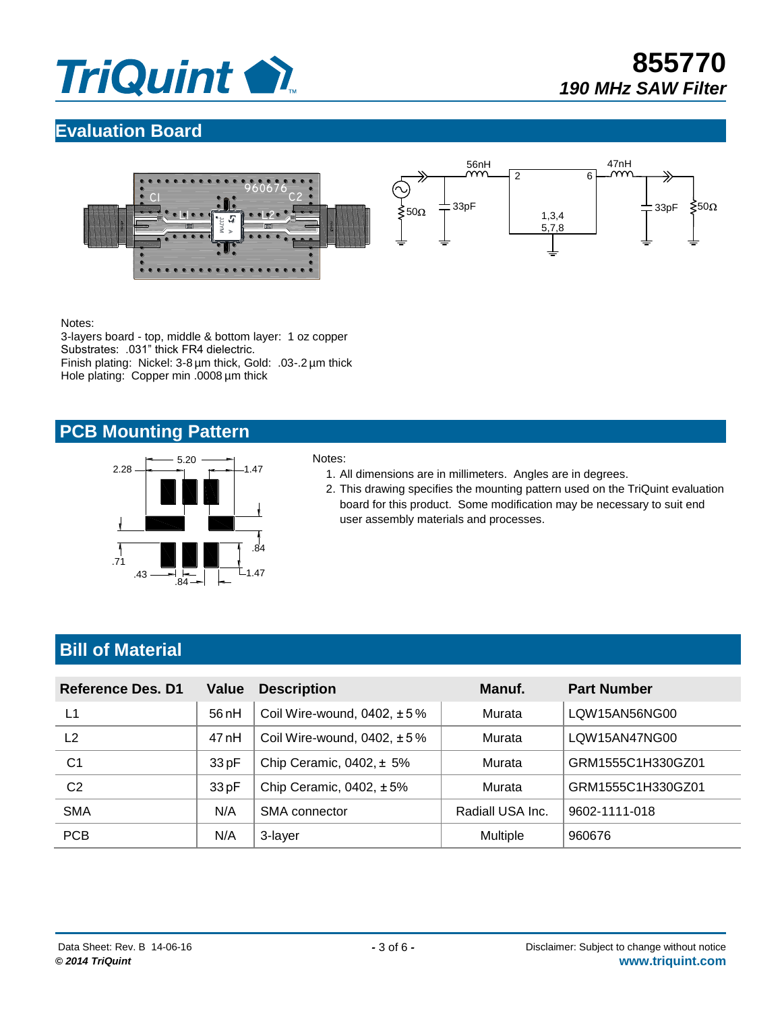

**855770** *190 MHz SAW Filter*

# **Evaluation Board**



Notes:

3-layers board - top, middle & bottom layer: 1 oz copper Substrates: .031" thick FR4 dielectric. Finish plating: Nickel: 3-8 µm thick, Gold: .03-.2 µm thick Hole plating: Copper min .0008 µm thick

#### **PCB Mounting Pattern**



#### Notes:

- 1. All dimensions are in millimeters. Angles are in degrees.
- 2. This drawing specifies the mounting pattern used on the TriQuint evaluation board for this product. Some modification may be necessary to suit end user assembly materials and processes.

# **Bill of Material**

| Reference Des. D1 | Value | <b>Description</b>               | Manuf.           | <b>Part Number</b> |
|-------------------|-------|----------------------------------|------------------|--------------------|
| L1                | 56 nH | Coil Wire-wound, $0402, \pm 5\%$ | Murata           | LOW15AN56NG00      |
| L <sub>2</sub>    | 47 nH | Coil Wire-wound, 0402, $\pm$ 5%  | Murata           | LOW15AN47NG00      |
| C <sub>1</sub>    | 33pF  | Chip Ceramic, $0402, \pm 5\%$    | Murata           | GRM1555C1H330GZ01  |
| C <sub>2</sub>    | 33pF  | Chip Ceramic, $0402, \pm 5\%$    | Murata           | GRM1555C1H330GZ01  |
| <b>SMA</b>        | N/A   | <b>SMA</b> connector             | Radiall USA Inc. | 9602-1111-018      |
| <b>PCB</b>        | N/A   | 3-layer                          | <b>Multiple</b>  | 960676             |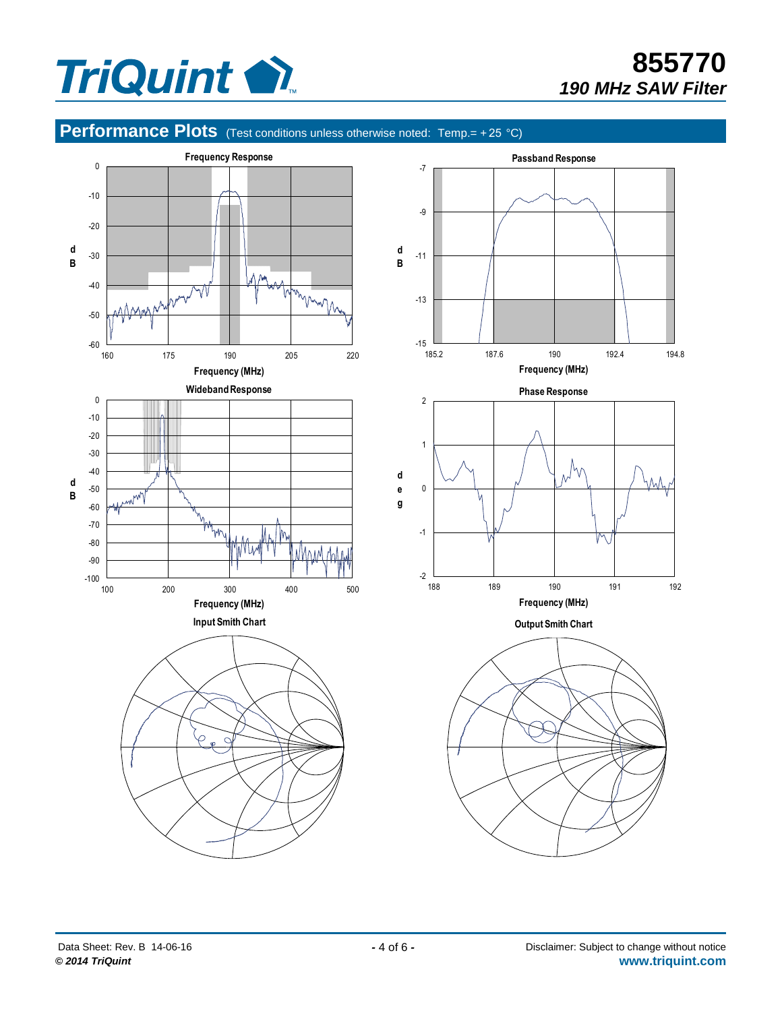

# **855770** *190 MHz SAW Filter*

# **Performance Plots** (Test conditions unless otherwise noted: Temp.= +25 °C)

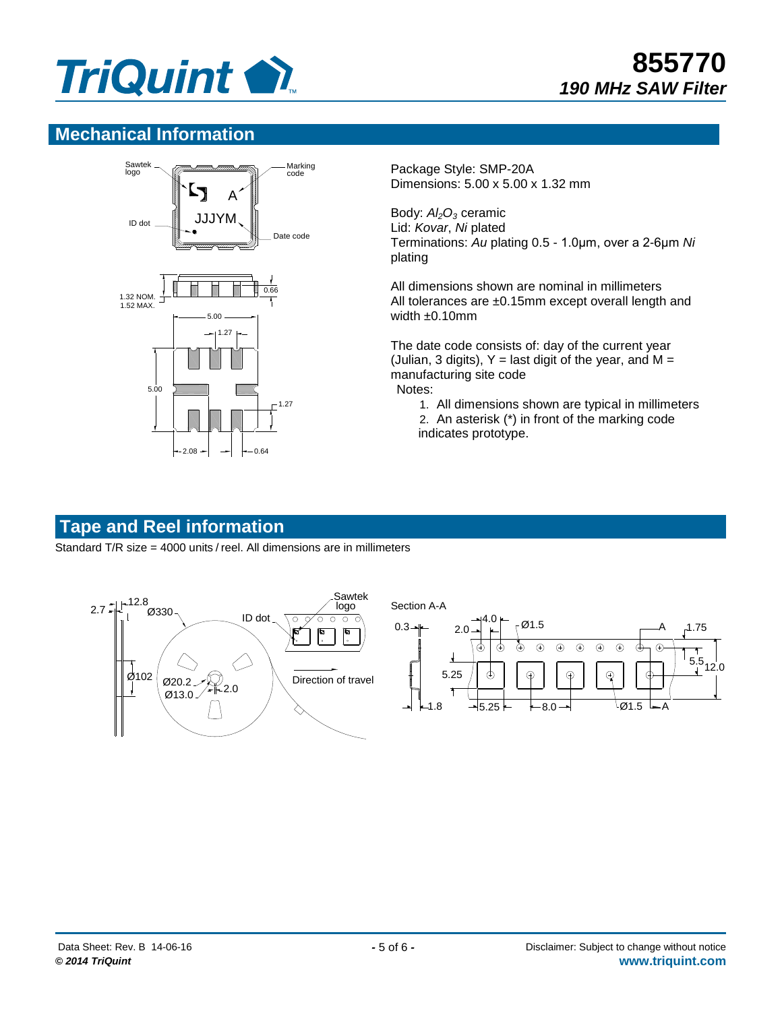

#### **Mechanical Information**



Package Style: SMP-20A Dimensions: 5.00 x 5.00 x 1.32 mm

Body: *Al2O<sup>3</sup>* ceramic Lid: *Kovar*, *Ni* plated Terminations: *Au* plating 0.5 - 1.0μm, over a 2-6μm *Ni* plating

All dimensions shown are nominal in millimeters All tolerances are ±0.15mm except overall length and width ±0.10mm

The date code consists of: day of the current year (Julian, 3 digits),  $Y =$  last digit of the year, and M = manufacturing site code Notes:

- 1. All dimensions shown are typical in millimeters
- 2. An asterisk (\*) in front of the marking code indicates prototype.

# **Tape and Reel information**

Standard T/R size = 4000 units / reel. All dimensions are in millimeters

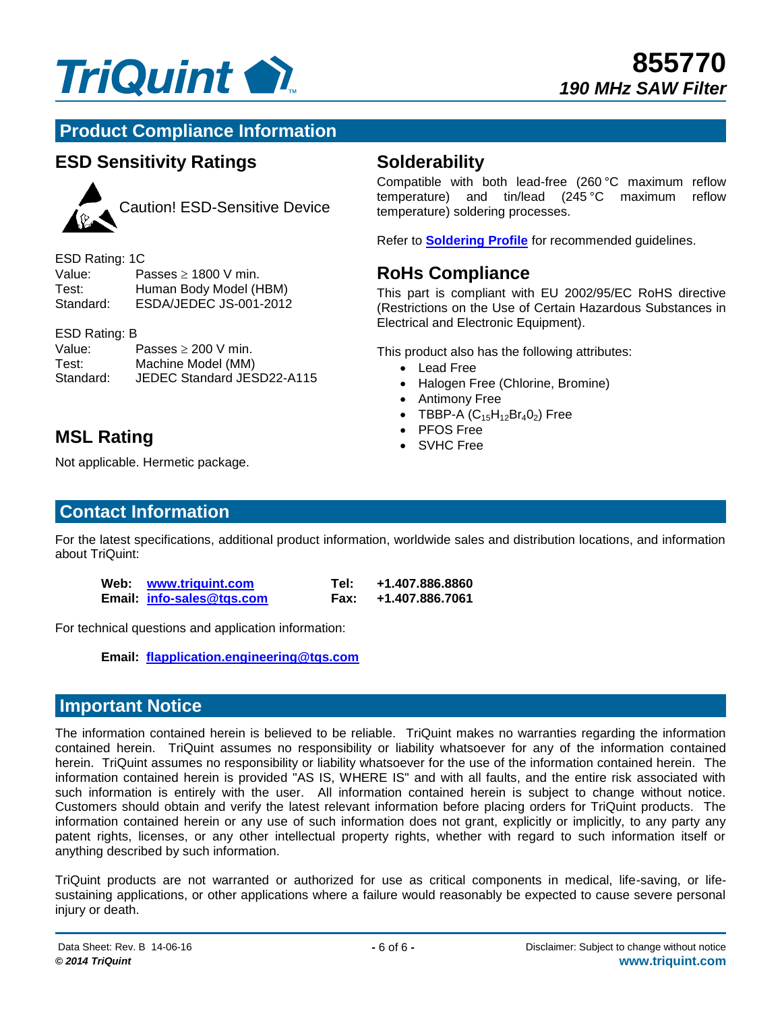

## **Product Compliance Information**

# **ESD Sensitivity Ratings**



Caution! ESD-Sensitive Device

| ESD Rating: 1C |                           |
|----------------|---------------------------|
| Value:         | Passes $\geq$ 1800 V min. |
| Test:          | Human Body Model (HBM)    |
| Standard:      | ESDA/JEDEC JS-001-2012    |

#### ESD Rating: B

| Value:    | Passes $\geq 200$ V min.   |
|-----------|----------------------------|
| Test:     | Machine Model (MM)         |
| Standard: | JEDEC Standard JESD22-A115 |

# **MSL Rating Construction Construction Construction Construction Construction Construction Construction Construction**

Not applicable. Hermetic package.

#### **Contact Information**

For the latest specifications, additional product information, worldwide sales and distribution locations, and information about TriQuint:

| Web: www.triguint.com     | Tel: I | +1.407.886.8860      |
|---------------------------|--------|----------------------|
| Email: info-sales@tgs.com |        | Fax: +1.407.886.7061 |

For technical questions and application information:

**Email: [flapplication.engineering@tqs.com](mailto:flapplication.engineering@tqs.com)**

#### **Important Notice**

The information contained herein is believed to be reliable. TriQuint makes no warranties regarding the information contained herein. TriQuint assumes no responsibility or liability whatsoever for any of the information contained herein. TriQuint assumes no responsibility or liability whatsoever for the use of the information contained herein. The information contained herein is provided "AS IS, WHERE IS" and with all faults, and the entire risk associated with such information is entirely with the user. All information contained herein is subject to change without notice. Customers should obtain and verify the latest relevant information before placing orders for TriQuint products. The information contained herein or any use of such information does not grant, explicitly or implicitly, to any party any patent rights, licenses, or any other intellectual property rights, whether with regard to such information itself or anything described by such information.

TriQuint products are not warranted or authorized for use as critical components in medical, life-saving, or lifesustaining applications, or other applications where a failure would reasonably be expected to cause severe personal injury or death.

#### **Solderability**

Compatible with both lead-free (260 °C maximum reflow temperature) and tin/lead (245 °C maximum reflow temperature) soldering processes.

Refer to **[Soldering Profile](http://www.triquint.com/prodserv/tech_info/soldering.cfm)** for recommended guidelines.

### **RoHs Compliance**

This part is compliant with EU 2002/95/EC RoHS directive (Restrictions on the Use of Certain Hazardous Substances in Electrical and Electronic Equipment).

This product also has the following attributes:

- Lead Free
- Halogen Free (Chlorine, Bromine)
- Antimony Free
- TBBP-A  $(C_{15}H_{12}Br_4O_2)$  Free<br>• PFOS Free
- 
-